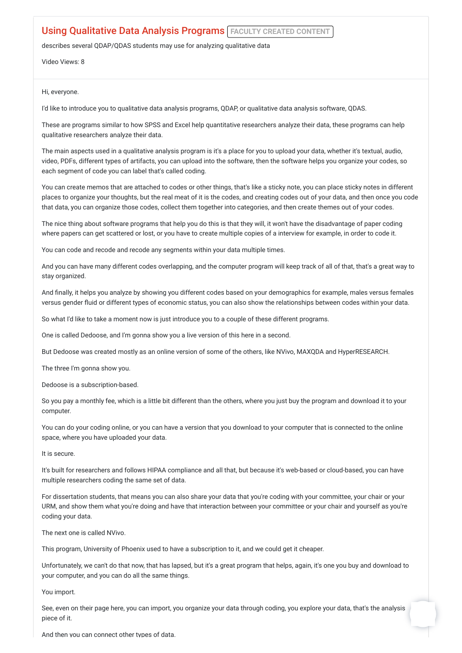## **Using Qualitative Data Analysis Programs FACULTY CREATED CONTENT**

describes several QDAP/QDAS students may use for analyzing qualitative data

Video Views: 8

Hi, everyone.

I'd like to introduce you to qualitative data analysis programs, QDAP, or qualitative data analysis software, QDAS.

These are programs similar to how SPSS and Excel help quantitative researchers analyze their data, these programs can help qualitative researchers analyze their data.

The main aspects used in a qualitative analysis program is it's a place for you to upload your data, whether it's textual, audio, video, PDFs, different types of artifacts, you can upload into the software, then the software helps you organize your codes, so each segment of code you can label that's called coding.

You can create memos that are attached to codes or other things, that's like a sticky note, you can place sticky notes in different places to organize your thoughts, but the real meat of it is the codes, and creating codes out of your data, and then once you code that data, you can organize those codes, collect them together into categories, and then create themes out of your codes.

The nice thing about software programs that help you do this is that they will, it won't have the disadvantage of paper coding where papers can get scattered or lost, or you have to create multiple copies of a interview for example, in order to code it.

You can code and recode and recode any segments within your data multiple times.

And you can have many different codes overlapping, and the computer program will keep track of all of that, that's a great way to stay organized.

And finally, it helps you analyze by showing you different codes based on your demographics for example, males versus females versus gender fluid or different types of economic status, you can also show the relationships between codes within your data.

So what I'd like to take a moment now is just introduce you to a couple of these different programs.

One is called Dedoose, and I'm gonna show you a live version of this here in a second.

But Dedoose was created mostly as an online version of some of the others, like NVivo, MAXQDA and HyperRESEARCH.

The three I'm gonna show you.

Dedoose is a subscription-based.

So you pay a monthly fee, which is a little bit different than the others, where you just buy the program and download it to your computer.

You can do your coding online, or you can have a version that you download to your computer that is connected to the online space, where you have uploaded your data.

It is secure.

It's built for researchers and follows HIPAA compliance and all that, but because it's web-based or cloud-based, you can have multiple researchers coding the same set of data.

For dissertation students, that means you can also share your data that you're coding with your committee, your chair or your URM, and show them what you're doing and have that interaction between your committee or your chair and yourself as you're coding your data.

The next one is called NVivo.

This program, University of Phoenix used to have a subscription to it, and we could get it cheaper.

Unfortunately, we can't do that now, that has lapsed, but it's a great program that helps, again, it's one you buy and download to your computer, and you can do all the same things.

You import.

See, even on their page here, you can import, you organize your data through coding, you explore your data, that's the analysis piece of it.

And then you can connect other types of data.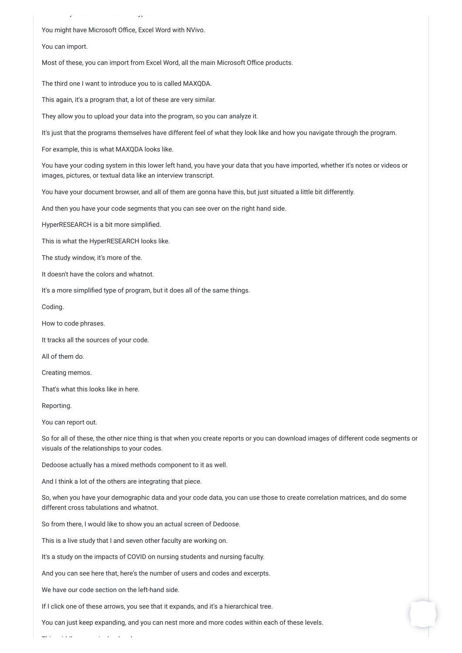And then you can connect other types of data.

You might have Microsoft Office, Excel Word with NVivo.

You can import.

Most of these, you can import from Excel Word, all the main Microsoft Office products.

The third one I want to introduce you to is called MAXQDA.

This again, it's a program that, a lot of these are very similar.

They allow you to upload your data into the program, so you can analyze it.

It's just that the programs themselves have different feel of what they look like and how you navigate through the program.

For example, this is what MAXQDA looks like.

You have your coding system in this lower left hand, you have your data that you have imported, whether it's notes or videos or images, pictures, or textual data like an interview transcript.

You have your document browser, and all of them are gonna have this, but just situated a little bit differently.

And then you have your code segments that you can see over on the right hand side.

HyperRESEARCH is a bit more simplified.

This is what the HyperRESEARCH looks like.

The study window, it's more of the.

It doesn't have the colors and whatnot.

It's a more simplified type of program, but it does all of the same things.

Coding.

How to code phrases.

It tracks all the sources of your code.

All of them do.

Creating memos.

That's what this looks like in here.

Reporting.

You can report out.

So for all of these, the other nice thing is that when you create reports or you can download images of different code segments or visuals of the relationships to your codes.

Dedoose actually has a mixed methods component to it as well.

And I think a lot of the others are integrating that piece.

So, when you have your demographic data and your code data, you can use those to create correlation matrices, and do some different cross tabulations and whatnot.

So from there, I would like to show you an actual screen of Dedoose.

This is a live study that I and seven other faculty are working on.

It's a study on the impacts of COVID on nursing students and nursing faculty.

And you can see here that, here's the number of users and codes and excerpts.

We have our code section on the left-hand side.

This iddie is a home of the home of the home of the home of the home of the home of the home of the home of th<br>This is a home of the home of the home of the home of the home of the home of the home of the home of the home

If I click one of these arrows, you see that it expands, and it's a hierarchical tree.

You can just keep expanding, and you can nest more and more codes within each of these levels.